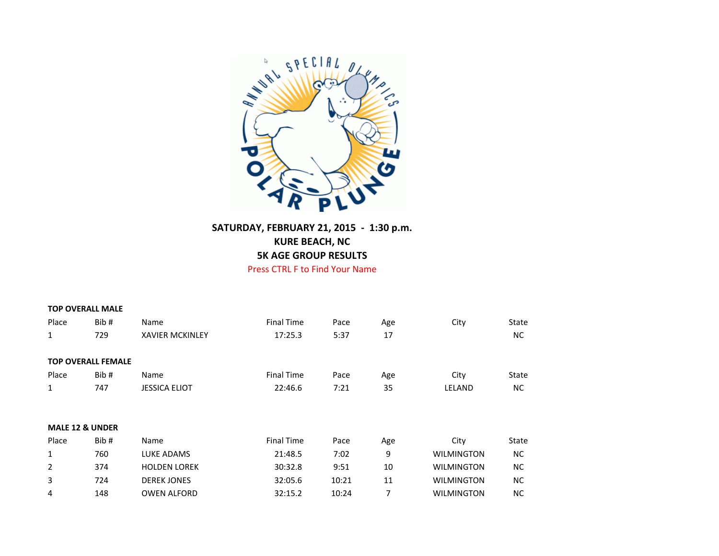

## **SATURDAY, FEBRUARY 21, 2015 - 1:30 p.m. KURE BEACH, NC 5K AGE GROUP RESULTS** Press CTRL F to Find Your Name

|       | <b>TOP OVERALL MALE</b>    |                        |                   |       |     |                   |              |
|-------|----------------------------|------------------------|-------------------|-------|-----|-------------------|--------------|
| Place | Bib#                       | Name                   | <b>Final Time</b> | Pace  | Age | City              | State        |
| 1     | 729                        | <b>XAVIER MCKINLEY</b> | 17:25.3           | 5:37  | 17  |                   | NC.          |
|       | <b>TOP OVERALL FEMALE</b>  |                        |                   |       |     |                   |              |
| Place | Bib#                       | Name                   | <b>Final Time</b> | Pace  | Age | City              | <b>State</b> |
| 1     | 747                        | <b>JESSICA ELIOT</b>   | 22:46.6           | 7:21  | 35  | LELAND            | NC.          |
|       | <b>MALE 12 &amp; UNDER</b> |                        |                   |       |     |                   |              |
| Place | Bib#                       | Name                   | <b>Final Time</b> | Pace  | Age | City              | State        |
| 1     | 760                        | LUKE ADAMS             | 21:48.5           | 7:02  | 9   | <b>WILMINGTON</b> | NC.          |
| 2     | 374                        | <b>HOLDEN LOREK</b>    | 30:32.8           | 9:51  | 10  | <b>WILMINGTON</b> | NС           |
| 3     | 724                        | <b>DEREK JONES</b>     | 32:05.6           | 10:21 | 11  | <b>WILMINGTON</b> | <b>NC</b>    |
| 4     | 148                        | <b>OWEN ALFORD</b>     | 32:15.2           | 10:24 | 7   | <b>WILMINGTON</b> | <b>NC</b>    |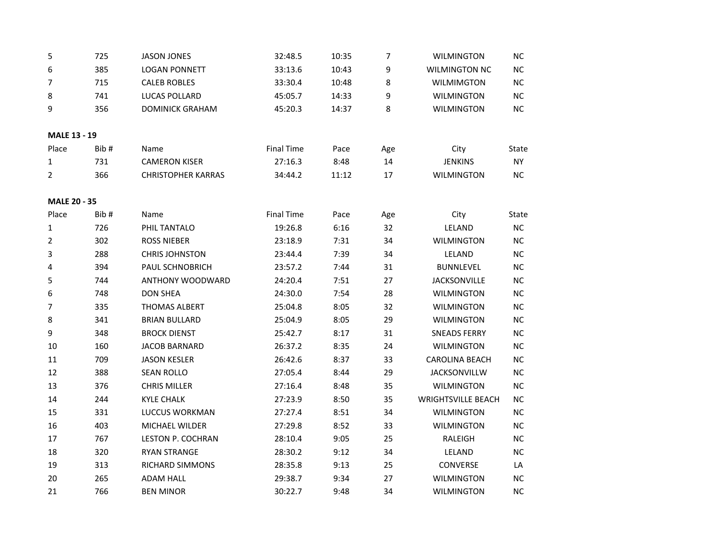| 5                   | 725  | <b>JASON JONES</b>        | 32:48.5           | 10:35 | 7   | <b>WILMINGTON</b>         | NC        |
|---------------------|------|---------------------------|-------------------|-------|-----|---------------------------|-----------|
| 6                   | 385  | <b>LOGAN PONNETT</b>      | 33:13.6           | 10:43 | 9   | <b>WILMINGTON NC</b>      | NC        |
| 7                   | 715  | <b>CALEB ROBLES</b>       | 33:30.4           | 10:48 | 8   | <b>WILMIMGTON</b>         | NC        |
| 8                   | 741  | <b>LUCAS POLLARD</b>      | 45:05.7           | 14:33 | 9   | <b>WILMINGTON</b>         | NC.       |
| 9                   | 356  | <b>DOMINICK GRAHAM</b>    | 45:20.3           | 14:37 | 8   | <b>WILMINGTON</b>         | <b>NC</b> |
| <b>MALE 13 - 19</b> |      |                           |                   |       |     |                           |           |
| Place               | Bib# | Name                      | <b>Final Time</b> | Pace  | Age | City                      | State     |
| 1                   | 731  | <b>CAMERON KISER</b>      | 27:16.3           | 8:48  | 14  | <b>JENKINS</b>            | NY.       |
| $\overline{2}$      | 366  | <b>CHRISTOPHER KARRAS</b> | 34:44.2           | 11:12 | 17  | <b>WILMINGTON</b>         | NC.       |
| MALE 20 - 35        |      |                           |                   |       |     |                           |           |
| Place               | Bib# | Name                      | <b>Final Time</b> | Pace  | Age | City                      | State     |
| 1                   | 726  | PHIL TANTALO              | 19:26.8           | 6:16  | 32  | LELAND                    | <b>NC</b> |
| 2                   | 302  | <b>ROSS NIEBER</b>        | 23:18.9           | 7:31  | 34  | <b>WILMINGTON</b>         | NC        |
| 3                   | 288  | <b>CHRIS JOHNSTON</b>     | 23:44.4           | 7:39  | 34  | LELAND                    | <b>NC</b> |
| 4                   | 394  | PAUL SCHNOBRICH           | 23:57.2           | 7:44  | 31  | <b>BUNNLEVEL</b>          | <b>NC</b> |
| 5                   | 744  | <b>ANTHONY WOODWARD</b>   | 24:20.4           | 7:51  | 27  | <b>JACKSONVILLE</b>       | <b>NC</b> |
| 6                   | 748  | <b>DON SHEA</b>           | 24:30.0           | 7:54  | 28  | <b>WILMINGTON</b>         | <b>NC</b> |
| 7                   | 335  | THOMAS ALBERT             | 25:04.8           | 8:05  | 32  | <b>WILMINGTON</b>         | <b>NC</b> |
| 8                   | 341  | <b>BRIAN BULLARD</b>      | 25:04.9           | 8:05  | 29  | <b>WILMINGTON</b>         | NC        |
| 9                   | 348  | <b>BROCK DIENST</b>       | 25:42.7           | 8:17  | 31  | <b>SNEADS FERRY</b>       | <b>NC</b> |
| 10                  | 160  | <b>JACOB BARNARD</b>      | 26:37.2           | 8:35  | 24  | <b>WILMINGTON</b>         | <b>NC</b> |
| 11                  | 709  | <b>JASON KESLER</b>       | 26:42.6           | 8:37  | 33  | <b>CAROLINA BEACH</b>     | NC        |
| 12                  | 388  | <b>SEAN ROLLO</b>         | 27:05.4           | 8:44  | 29  | <b>JACKSONVILLW</b>       | <b>NC</b> |
| 13                  | 376  | <b>CHRIS MILLER</b>       | 27:16.4           | 8:48  | 35  | <b>WILMINGTON</b>         | NC        |
| 14                  | 244  | <b>KYLE CHALK</b>         | 27:23.9           | 8:50  | 35  | <b>WRIGHTSVILLE BEACH</b> | <b>NC</b> |
| 15                  | 331  | LUCCUS WORKMAN            | 27:27.4           | 8:51  | 34  | <b>WILMINGTON</b>         | NC        |
| 16                  | 403  | <b>MICHAEL WILDER</b>     | 27:29.8           | 8:52  | 33  | <b>WILMINGTON</b>         | ΝC        |
| 17                  | 767  | LESTON P. COCHRAN         | 28:10.4           | 9:05  | 25  | RALEIGH                   | <b>NC</b> |
| 18                  | 320  | <b>RYAN STRANGE</b>       | 28:30.2           | 9:12  | 34  | LELAND                    | <b>NC</b> |
| 19                  | 313  | RICHARD SIMMONS           | 28:35.8           | 9:13  | 25  | <b>CONVERSE</b>           | LA        |
| 20                  | 265  | <b>ADAM HALL</b>          | 29:38.7           | 9:34  | 27  | <b>WILMINGTON</b>         | <b>NC</b> |
| 21                  | 766  | <b>BEN MINOR</b>          | 30:22.7           | 9:48  | 34  | <b>WILMINGTON</b>         | ΝC        |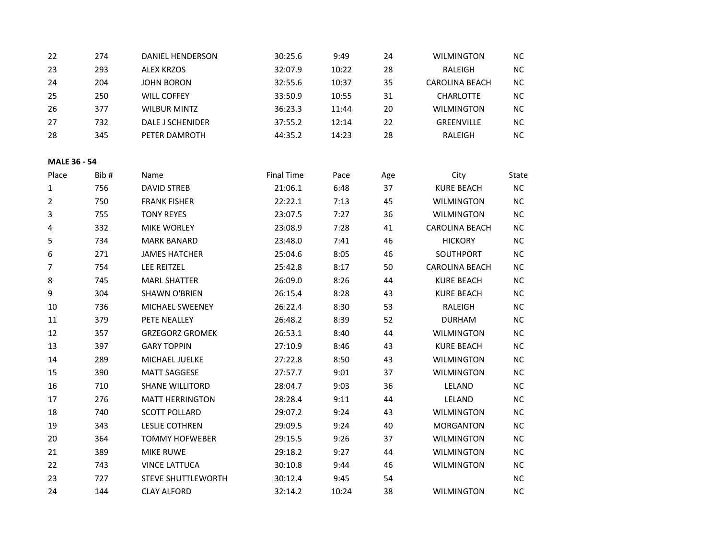| 22                  | 274  | DANIEL HENDERSON          | 30:25.6           | 9:49  | 24  | <b>WILMINGTON</b>     | <b>NC</b> |
|---------------------|------|---------------------------|-------------------|-------|-----|-----------------------|-----------|
| 23                  | 293  | <b>ALEX KRZOS</b>         | 32:07.9           | 10:22 | 28  | RALEIGH               | NC        |
| 24                  | 204  | <b>JOHN BORON</b>         | 32:55.6           | 10:37 | 35  | <b>CAROLINA BEACH</b> | <b>NC</b> |
| 25                  | 250  | <b>WILL COFFEY</b>        | 33:50.9           | 10:55 | 31  | CHARLOTTE             | <b>NC</b> |
| 26                  | 377  | <b>WILBUR MINTZ</b>       | 36:23.3           | 11:44 | 20  | WILMINGTON            | ΝC        |
| 27                  | 732  | DALE J SCHENIDER          | 37:55.2           | 12:14 | 22  | GREENVILLE            | NC        |
| 28                  | 345  | PETER DAMROTH             | 44:35.2           | 14:23 | 28  | RALEIGH               | NC        |
|                     |      |                           |                   |       |     |                       |           |
| <b>MALE 36 - 54</b> |      |                           |                   |       |     |                       |           |
| Place               | Bib# | Name                      | <b>Final Time</b> | Pace  | Age | City                  | State     |
| 1                   | 756  | <b>DAVID STREB</b>        | 21:06.1           | 6:48  | 37  | <b>KURE BEACH</b>     | NC        |
| $\overline{2}$      | 750  | <b>FRANK FISHER</b>       | 22:22.1           | 7:13  | 45  | <b>WILMINGTON</b>     | NC        |
| 3                   | 755  | <b>TONY REYES</b>         | 23:07.5           | 7:27  | 36  | <b>WILMINGTON</b>     | <b>NC</b> |
| 4                   | 332  | MIKE WORLEY               | 23:08.9           | 7:28  | 41  | <b>CAROLINA BEACH</b> | NC.       |
| 5                   | 734  | <b>MARK BANARD</b>        | 23:48.0           | 7:41  | 46  | <b>HICKORY</b>        | <b>NC</b> |
| 6                   | 271  | <b>JAMES HATCHER</b>      | 25:04.6           | 8:05  | 46  | SOUTHPORT             | NC        |
| $\overline{7}$      | 754  | LEE REITZEL               | 25:42.8           | 8:17  | 50  | <b>CAROLINA BEACH</b> | <b>NC</b> |
| 8                   | 745  | <b>MARL SHATTER</b>       | 26:09.0           | 8:26  | 44  | <b>KURE BEACH</b>     | NC        |
| 9                   | 304  | <b>SHAWN O'BRIEN</b>      | 26:15.4           | 8:28  | 43  | <b>KURE BEACH</b>     | <b>NC</b> |
| $10\,$              | 736  | MICHAEL SWEENEY           | 26:22.4           | 8:30  | 53  | RALEIGH               | <b>NC</b> |
| 11                  | 379  | PETE NEALLEY              | 26:48.2           | 8:39  | 52  | <b>DURHAM</b>         | <b>NC</b> |
| 12                  | 357  | <b>GRZEGORZ GROMEK</b>    | 26:53.1           | 8:40  | 44  | <b>WILMINGTON</b>     | <b>NC</b> |
| 13                  | 397  | <b>GARY TOPPIN</b>        | 27:10.9           | 8:46  | 43  | <b>KURE BEACH</b>     | ΝC        |
| 14                  | 289  | MICHAEL JUELKE            | 27:22.8           | 8:50  | 43  | <b>WILMINGTON</b>     | <b>NC</b> |
| 15                  | 390  | <b>MATT SAGGESE</b>       | 27:57.7           | 9:01  | 37  | <b>WILMINGTON</b>     | NC        |
| 16                  | 710  | <b>SHANE WILLITORD</b>    | 28:04.7           | 9:03  | 36  | LELAND                | <b>NC</b> |
| 17                  | 276  | <b>MATT HERRINGTON</b>    | 28:28.4           | 9:11  | 44  | LELAND                | NC        |
| 18                  | 740  | <b>SCOTT POLLARD</b>      | 29:07.2           | 9:24  | 43  | <b>WILMINGTON</b>     | <b>NC</b> |
| 19                  | 343  | <b>LESLIE COTHREN</b>     | 29:09.5           | 9:24  | 40  | <b>MORGANTON</b>      | <b>NC</b> |
| 20                  | 364  | <b>TOMMY HOFWEBER</b>     | 29:15.5           | 9:26  | 37  | <b>WILMINGTON</b>     | ΝC        |
| 21                  | 389  | <b>MIKE RUWE</b>          | 29:18.2           | 9:27  | 44  | <b>WILMINGTON</b>     | <b>NC</b> |
| 22                  | 743  | <b>VINCE LATTUCA</b>      | 30:10.8           | 9:44  | 46  | <b>WILMINGTON</b>     | NC        |
| 23                  | 727  | <b>STEVE SHUTTLEWORTH</b> | 30:12.4           | 9:45  | 54  |                       | NC        |
| 24                  | 144  | <b>CLAY ALFORD</b>        | 32:14.2           | 10:24 | 38  | <b>WILMINGTON</b>     | NC        |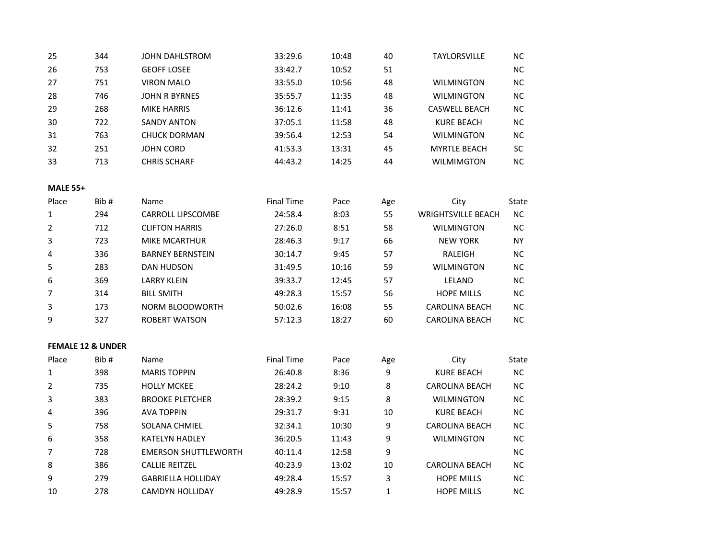| 25 | 344 | <b>JOHN DAHLSTROM</b> | 33:29.6 | 10:48 | 40 | <b>TAYLORSVILLE</b>  | NC.       |
|----|-----|-----------------------|---------|-------|----|----------------------|-----------|
| 26 | 753 | <b>GEOFF LOSEE</b>    | 33:42.7 | 10:52 | 51 |                      | <b>NC</b> |
| 27 | 751 | <b>VIRON MALO</b>     | 33:55.0 | 10:56 | 48 | <b>WILMINGTON</b>    | <b>NC</b> |
| 28 | 746 | <b>JOHN R BYRNES</b>  | 35:55.7 | 11:35 | 48 | <b>WILMINGTON</b>    | <b>NC</b> |
| 29 | 268 | <b>MIKE HARRIS</b>    | 36:12.6 | 11:41 | 36 | <b>CASWELL BEACH</b> | <b>NC</b> |
| 30 | 722 | <b>SANDY ANTON</b>    | 37:05.1 | 11:58 | 48 | KURE BEACH           | <b>NC</b> |
| 31 | 763 | <b>CHUCK DORMAN</b>   | 39:56.4 | 12:53 | 54 | <b>WILMINGTON</b>    | <b>NC</b> |
| 32 | 251 | <b>JOHN CORD</b>      | 41:53.3 | 13:31 | 45 | <b>MYRTLE BEACH</b>  | SC        |
| 33 | 713 | <b>CHRIS SCHARF</b>   | 44:43.2 | 14:25 | 44 | <b>WILMIMGTON</b>    | <b>NC</b> |
|    |     |                       |         |       |    |                      |           |

| <b>MALE 55+</b> |      |                          |                   |       |     |                           |           |  |  |  |
|-----------------|------|--------------------------|-------------------|-------|-----|---------------------------|-----------|--|--|--|
| Place           | Bib# | <b>Name</b>              | <b>Final Time</b> | Pace  | Age | City                      | State     |  |  |  |
| 1               | 294  | <b>CARROLL LIPSCOMBE</b> | 24:58.4           | 8:03  | 55  | <b>WRIGHTSVILLE BEACH</b> | <b>NC</b> |  |  |  |
| $\overline{2}$  | 712  | <b>CLIFTON HARRIS</b>    | 27:26.0           | 8:51  | 58  | <b>WILMINGTON</b>         | <b>NC</b> |  |  |  |
| 3               | 723  | MIKE MCARTHUR            | 28:46.3           | 9:17  | 66  | <b>NEW YORK</b>           | <b>NY</b> |  |  |  |
| 4               | 336  | <b>BARNEY BERNSTEIN</b>  | 30:14.7           | 9:45  | 57  | RALEIGH                   | <b>NC</b> |  |  |  |
| 5               | 283  | DAN HUDSON               | 31:49.5           | 10:16 | 59  | <b>WILMINGTON</b>         | <b>NC</b> |  |  |  |
| 6               | 369  | <b>LARRY KLEIN</b>       | 39:33.7           | 12:45 | 57  | LELAND                    | <b>NC</b> |  |  |  |
| 7               | 314  | <b>BILL SMITH</b>        | 49:28.3           | 15:57 | 56  | <b>HOPE MILLS</b>         | <b>NC</b> |  |  |  |
| 3               | 173  | NORM BLOODWORTH          | 50:02.6           | 16:08 | 55  | <b>CAROLINA BEACH</b>     | <b>NC</b> |  |  |  |
| 9               | 327  | ROBERT WATSON            | 57:12.3           | 18:27 | 60  | <b>CAROLINA BEACH</b>     | NС        |  |  |  |

## **FEMALE 12 & UNDER**

| Place | Bib# | Name                        | <b>Final Time</b> | Pace  | Age | City                  | State     |
|-------|------|-----------------------------|-------------------|-------|-----|-----------------------|-----------|
|       | 398  | <b>MARIS TOPPIN</b>         | 26:40.8           | 8:36  | 9   | KURE BEACH            | <b>NC</b> |
|       | 735  | <b>HOLLY MCKEE</b>          | 28:24.2           | 9:10  | 8   | <b>CAROLINA BEACH</b> | <b>NC</b> |
| 3     | 383  | <b>BROOKE PLETCHER</b>      | 28:39.2           | 9:15  | 8   | <b>WILMINGTON</b>     | <b>NC</b> |
| 4     | 396  | <b>AVA TOPPIN</b>           | 29:31.7           | 9:31  | 10  | KURE BEACH            | <b>NC</b> |
| 5     | 758  | <b>SOLANA CHMIEL</b>        | 32:34.1           | 10:30 | 9   | <b>CAROLINA BEACH</b> | <b>NC</b> |
| 6     | 358  | <b>KATELYN HADLEY</b>       | 36:20.5           | 11:43 | 9   | <b>WILMINGTON</b>     | <b>NC</b> |
|       | 728  | <b>EMERSON SHUTTLEWORTH</b> | 40:11.4           | 12:58 | 9   |                       | <b>NC</b> |
| 8     | 386  | <b>CALLIE REITZEL</b>       | 40:23.9           | 13:02 | 10  | <b>CAROLINA BEACH</b> | <b>NC</b> |
| 9     | 279  | <b>GABRIELLA HOLLIDAY</b>   | 49:28.4           | 15:57 | 3   | <b>HOPE MILLS</b>     | <b>NC</b> |
| 10    | 278  | <b>CAMDYN HOLLIDAY</b>      | 49:28.9           | 15:57 |     | <b>HOPE MILLS</b>     | <b>NC</b> |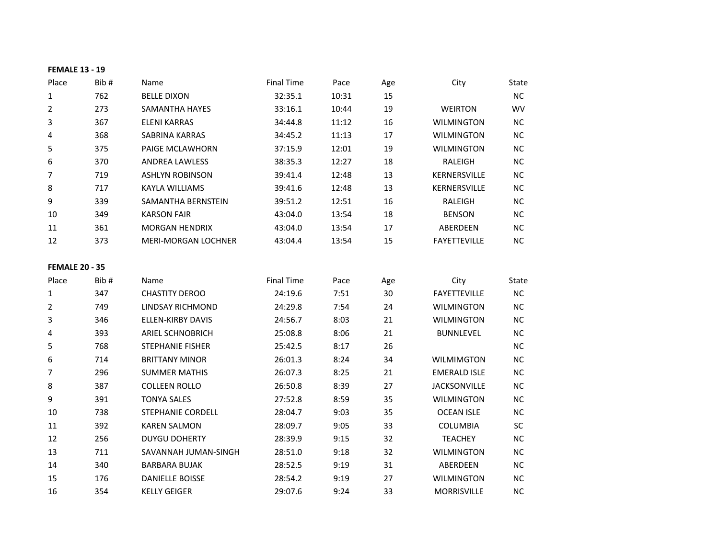| <b>FEMALE 13 - 19</b> |      |                         |                   |       |     |                     |           |
|-----------------------|------|-------------------------|-------------------|-------|-----|---------------------|-----------|
| Place                 | Bib# | Name                    | <b>Final Time</b> | Pace  | Age | City                | State     |
| 1                     | 762  | <b>BELLE DIXON</b>      | 32:35.1           | 10:31 | 15  |                     | NC        |
| $\overline{2}$        | 273  | <b>SAMANTHA HAYES</b>   | 33:16.1           | 10:44 | 19  | WEIRTON             | WV        |
| 3                     | 367  | <b>ELENI KARRAS</b>     | 34:44.8           | 11:12 | 16  | <b>WILMINGTON</b>   | ΝC        |
| 4                     | 368  | SABRINA KARRAS          | 34:45.2           | 11:13 | 17  | <b>WILMINGTON</b>   | NC        |
| 5                     | 375  | PAIGE MCLAWHORN         | 37:15.9           | 12:01 | 19  | <b>WILMINGTON</b>   | NC        |
| 6                     | 370  | <b>ANDREA LAWLESS</b>   | 38:35.3           | 12:27 | 18  | RALEIGH             | <b>NC</b> |
| $\overline{7}$        | 719  | <b>ASHLYN ROBINSON</b>  | 39:41.4           | 12:48 | 13  | KERNERSVILLE        | NС        |
| $\,8\,$               | 717  | <b>KAYLA WILLIAMS</b>   | 39:41.6           | 12:48 | 13  | KERNERSVILLE        | <b>NC</b> |
| 9                     | 339  | SAMANTHA BERNSTEIN      | 39:51.2           | 12:51 | 16  | RALEIGH             | NС        |
| 10                    | 349  | <b>KARSON FAIR</b>      | 43:04.0           | 13:54 | 18  | <b>BENSON</b>       | <b>NC</b> |
| 11                    | 361  | <b>MORGAN HENDRIX</b>   | 43:04.0           | 13:54 | 17  | ABERDEEN            | <b>NC</b> |
| 12                    | 373  | MERI-MORGAN LOCHNER     | 43:04.4           | 13:54 | 15  | <b>FAYETTEVILLE</b> | <b>NC</b> |
| <b>FEMALE 20 - 35</b> |      |                         |                   |       |     |                     |           |
| Place                 | Bib# | Name                    | <b>Final Time</b> | Pace  | Age | City                | State     |
| $\mathbf{1}$          | 347  | <b>CHASTITY DEROO</b>   | 24:19.6           | 7:51  | 30  | <b>FAYETTEVILLE</b> | NC        |
| $\overline{2}$        | 749  | LINDSAY RICHMOND        | 24:29.8           | 7:54  | 24  | <b>WILMINGTON</b>   | <b>NC</b> |
| 3                     | 346  | ELLEN-KIRBY DAVIS       | 24:56.7           | 8:03  | 21  | <b>WILMINGTON</b>   | <b>NC</b> |
| 4                     | 393  | <b>ARIEL SCHNOBRICH</b> | 25:08.8           | 8:06  | 21  | <b>BUNNLEVEL</b>    | <b>NC</b> |
| 5                     | 768  | <b>STEPHANIE FISHER</b> | 25:42.5           | 8:17  | 26  |                     | <b>NC</b> |
| 6                     | 714  | <b>BRITTANY MINOR</b>   | 26:01.3           | 8:24  | 34  | <b>WILMIMGTON</b>   | <b>NC</b> |
| 7                     | 296  | <b>SUMMER MATHIS</b>    | 26:07.3           | 8:25  | 21  | <b>EMERALD ISLE</b> | <b>NC</b> |
| 8                     | 387  | <b>COLLEEN ROLLO</b>    | 26:50.8           | 8:39  | 27  | <b>JACKSONVILLE</b> | <b>NC</b> |
| 9                     | 391  | <b>TONYA SALES</b>      | 27:52.8           | 8:59  | 35  | <b>WILMINGTON</b>   | <b>NC</b> |
| 10                    | 738  | STEPHANIE CORDELL       | 28:04.7           | 9:03  | 35  | <b>OCEAN ISLE</b>   | <b>NC</b> |
| 11                    | 392  | <b>KAREN SALMON</b>     | 28:09.7           | 9:05  | 33  | <b>COLUMBIA</b>     | <b>SC</b> |
| 12                    | 256  | <b>DUYGU DOHERTY</b>    | 28:39.9           | 9:15  | 32  | <b>TEACHEY</b>      | NC        |
| 13                    | 711  | SAVANNAH JUMAN-SINGH    | 28:51.0           | 9:18  | 32  | <b>WILMINGTON</b>   | <b>NC</b> |
| 14                    | 340  | <b>BARBARA BUJAK</b>    | 28:52.5           | 9:19  | 31  | ABERDEEN            | <b>NC</b> |
| 15                    | 176  | <b>DANIELLE BOISSE</b>  | 28:54.2           | 9:19  | 27  | <b>WILMINGTON</b>   | <b>NC</b> |
| 16                    | 354  | <b>KELLY GEIGER</b>     | 29:07.6           | 9:24  | 33  | <b>MORRISVILLE</b>  | <b>NC</b> |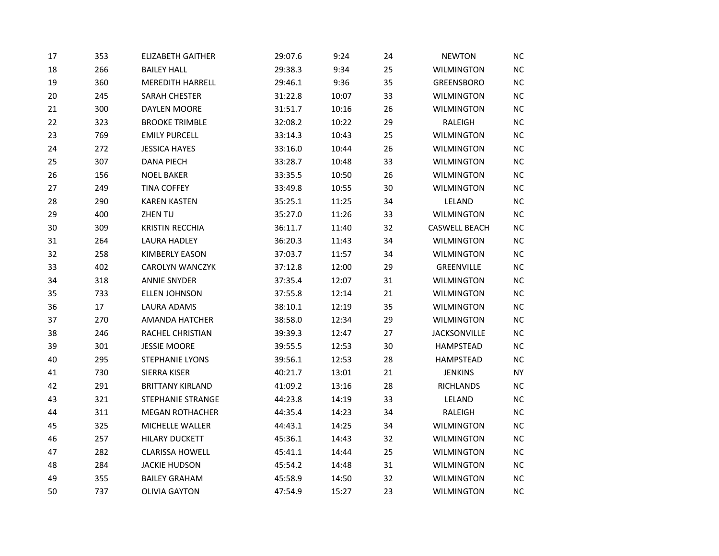| 17 | 353 | <b>ELIZABETH GAITHER</b> | 29:07.6 | 9:24  | 24 | <b>NEWTON</b>        | NC        |
|----|-----|--------------------------|---------|-------|----|----------------------|-----------|
| 18 | 266 | <b>BAILEY HALL</b>       | 29:38.3 | 9:34  | 25 | <b>WILMINGTON</b>    | <b>NC</b> |
| 19 | 360 | <b>MEREDITH HARRELL</b>  | 29:46.1 | 9:36  | 35 | GREENSBORO           | <b>NC</b> |
| 20 | 245 | <b>SARAH CHESTER</b>     | 31:22.8 | 10:07 | 33 | <b>WILMINGTON</b>    | NC        |
| 21 | 300 | DAYLEN MOORE             | 31:51.7 | 10:16 | 26 | <b>WILMINGTON</b>    | <b>NC</b> |
| 22 | 323 | <b>BROOKE TRIMBLE</b>    | 32:08.2 | 10:22 | 29 | RALEIGH              | <b>NC</b> |
| 23 | 769 | <b>EMILY PURCELL</b>     | 33:14.3 | 10:43 | 25 | <b>WILMINGTON</b>    | NC        |
| 24 | 272 | <b>JESSICA HAYES</b>     | 33:16.0 | 10:44 | 26 | <b>WILMINGTON</b>    | <b>NC</b> |
| 25 | 307 | <b>DANA PIECH</b>        | 33:28.7 | 10:48 | 33 | <b>WILMINGTON</b>    | $NC$      |
| 26 | 156 | <b>NOEL BAKER</b>        | 33:35.5 | 10:50 | 26 | <b>WILMINGTON</b>    | NC        |
| 27 | 249 | <b>TINA COFFEY</b>       | 33:49.8 | 10:55 | 30 | <b>WILMINGTON</b>    | <b>NC</b> |
| 28 | 290 | <b>KAREN KASTEN</b>      | 35:25.1 | 11:25 | 34 | LELAND               | <b>NC</b> |
| 29 | 400 | ZHEN TU                  | 35:27.0 | 11:26 | 33 | <b>WILMINGTON</b>    | <b>NC</b> |
| 30 | 309 | <b>KRISTIN RECCHIA</b>   | 36:11.7 | 11:40 | 32 | <b>CASWELL BEACH</b> | NC        |
| 31 | 264 | LAURA HADLEY             | 36:20.3 | 11:43 | 34 | <b>WILMINGTON</b>    | <b>NC</b> |
| 32 | 258 | <b>KIMBERLY EASON</b>    | 37:03.7 | 11:57 | 34 | WILMINGTON           | <b>NC</b> |
| 33 | 402 | CAROLYN WANCZYK          | 37:12.8 | 12:00 | 29 | GREENVILLE           | NC        |
| 34 | 318 | <b>ANNIE SNYDER</b>      | 37:35.4 | 12:07 | 31 | <b>WILMINGTON</b>    | NC        |
| 35 | 733 | <b>ELLEN JOHNSON</b>     | 37:55.8 | 12:14 | 21 | <b>WILMINGTON</b>    | <b>NC</b> |
| 36 | 17  | LAURA ADAMS              | 38:10.1 | 12:19 | 35 | <b>WILMINGTON</b>    | NC        |
| 37 | 270 | AMANDA HATCHER           | 38:58.0 | 12:34 | 29 | <b>WILMINGTON</b>    | NC        |
| 38 | 246 | RACHEL CHRISTIAN         | 39:39.3 | 12:47 | 27 | <b>JACKSONVILLE</b>  | NC        |
| 39 | 301 | <b>JESSIE MOORE</b>      | 39:55.5 | 12:53 | 30 | HAMPSTEAD            | NC        |
| 40 | 295 | <b>STEPHANIE LYONS</b>   | 39:56.1 | 12:53 | 28 | <b>HAMPSTEAD</b>     | NC        |
| 41 | 730 | SIERRA KISER             | 40:21.7 | 13:01 | 21 | <b>JENKINS</b>       | NY.       |
| 42 | 291 | <b>BRITTANY KIRLAND</b>  | 41:09.2 | 13:16 | 28 | <b>RICHLANDS</b>     | <b>NC</b> |
| 43 | 321 | STEPHANIE STRANGE        | 44:23.8 | 14:19 | 33 | LELAND               | <b>NC</b> |
| 44 | 311 | <b>MEGAN ROTHACHER</b>   | 44:35.4 | 14:23 | 34 | RALEIGH              | $NC$      |
| 45 | 325 | MICHELLE WALLER          | 44:43.1 | 14:25 | 34 | <b>WILMINGTON</b>    | NC        |
| 46 | 257 | <b>HILARY DUCKETT</b>    | 45:36.1 | 14:43 | 32 | <b>WILMINGTON</b>    | NC        |
| 47 | 282 | <b>CLARISSA HOWELL</b>   | 45:41.1 | 14:44 | 25 | <b>WILMINGTON</b>    | NC        |
| 48 | 284 | <b>JACKIE HUDSON</b>     | 45:54.2 | 14:48 | 31 | <b>WILMINGTON</b>    | NС        |
| 49 | 355 | <b>BAILEY GRAHAM</b>     | 45:58.9 | 14:50 | 32 | <b>WILMINGTON</b>    | <b>NC</b> |
| 50 | 737 | <b>OLIVIA GAYTON</b>     | 47:54.9 | 15:27 | 23 | <b>WILMINGTON</b>    | <b>NC</b> |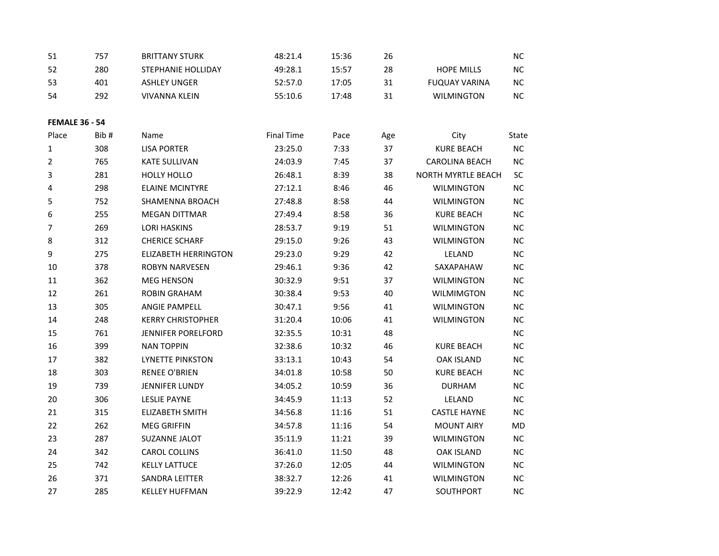| 51                    | 757  | <b>BRITTANY STURK</b>       | 48:21.4           | 15:36 | 26  |                       | NC        |
|-----------------------|------|-----------------------------|-------------------|-------|-----|-----------------------|-----------|
| 52                    | 280  | STEPHANIE HOLLIDAY          | 49:28.1           | 15:57 | 28  | <b>HOPE MILLS</b>     | NC        |
| 53                    | 401  | <b>ASHLEY UNGER</b>         | 52:57.0           | 17:05 | 31  | <b>FUQUAY VARINA</b>  | <b>NC</b> |
| 54                    | 292  | <b>VIVANNA KLEIN</b>        | 55:10.6           | 17:48 | 31  | <b>WILMINGTON</b>     | NC.       |
|                       |      |                             |                   |       |     |                       |           |
| <b>FEMALE 36 - 54</b> |      |                             |                   |       |     |                       |           |
| Place                 | Bib# | Name                        | <b>Final Time</b> | Pace  | Age | City                  | State     |
| 1                     | 308  | <b>LISA PORTER</b>          | 23:25.0           | 7:33  | 37  | <b>KURE BEACH</b>     | <b>NC</b> |
| $\overline{2}$        | 765  | <b>KATE SULLIVAN</b>        | 24:03.9           | 7:45  | 37  | <b>CAROLINA BEACH</b> | NС        |
| 3                     | 281  | <b>HOLLY HOLLO</b>          | 26:48.1           | 8:39  | 38  | NORTH MYRTLE BEACH    | SC        |
| 4                     | 298  | <b>ELAINE MCINTYRE</b>      | 27:12.1           | 8:46  | 46  | <b>WILMINGTON</b>     | NC        |
| 5                     | 752  | <b>SHAMENNA BROACH</b>      | 27:48.8           | 8:58  | 44  | <b>WILMINGTON</b>     | ΝC        |
| 6                     | 255  | <b>MEGAN DITTMAR</b>        | 27:49.4           | 8:58  | 36  | <b>KURE BEACH</b>     | NС        |
| $\overline{7}$        | 269  | <b>LORI HASKINS</b>         | 28:53.7           | 9:19  | 51  | <b>WILMINGTON</b>     | ΝC        |
| 8                     | 312  | <b>CHERICE SCHARF</b>       | 29:15.0           | 9:26  | 43  | <b>WILMINGTON</b>     | <b>NC</b> |
| 9                     | 275  | <b>ELIZABETH HERRINGTON</b> | 29:23.0           | 9:29  | 42  | LELAND                | <b>NC</b> |
| 10                    | 378  | <b>ROBYN NARVESEN</b>       | 29:46.1           | 9:36  | 42  | SAXAPAHAW             | NC        |
| $11\,$                | 362  | <b>MEG HENSON</b>           | 30:32.9           | 9:51  | 37  | WILMINGTON            | ΝC        |
| 12                    | 261  | <b>ROBIN GRAHAM</b>         | 30:38.4           | 9:53  | 40  | <b>WILMIMGTON</b>     | ΝC        |
| 13                    | 305  | ANGIE PAMPELL               | 30:47.1           | 9:56  | 41  | WILMINGTON            | <b>NC</b> |
| 14                    | 248  | <b>KERRY CHRISTOPHER</b>    | 31:20.4           | 10:06 | 41  | <b>WILMINGTON</b>     | NC        |
| 15                    | 761  | JENNIFER PORELFORD          | 32:35.5           | 10:31 | 48  |                       | <b>NC</b> |
| 16                    | 399  | <b>NAN TOPPIN</b>           | 32:38.6           | 10:32 | 46  | <b>KURE BEACH</b>     | <b>NC</b> |
| 17                    | 382  | <b>LYNETTE PINKSTON</b>     | 33:13.1           | 10:43 | 54  | OAK ISLAND            | NС        |
| 18                    | 303  | <b>RENEE O'BRIEN</b>        | 34:01.8           | 10:58 | 50  | <b>KURE BEACH</b>     | <b>NC</b> |
| 19                    | 739  | JENNIFER LUNDY              | 34:05.2           | 10:59 | 36  | <b>DURHAM</b>         | <b>NC</b> |
| 20                    | 306  | <b>LESLIE PAYNE</b>         | 34:45.9           | 11:13 | 52  | LELAND                | ΝC        |
| 21                    | 315  | <b>ELIZABETH SMITH</b>      | 34:56.8           | 11:16 | 51  | <b>CASTLE HAYNE</b>   | NC        |
| 22                    | 262  | <b>MEG GRIFFIN</b>          | 34:57.8           | 11:16 | 54  | <b>MOUNT AIRY</b>     | MD        |
| 23                    | 287  | SUZANNE JALOT               | 35:11.9           | 11:21 | 39  | <b>WILMINGTON</b>     | ΝC        |
| 24                    | 342  | <b>CAROL COLLINS</b>        | 36:41.0           | 11:50 | 48  | <b>OAK ISLAND</b>     | <b>NC</b> |
| 25                    | 742  | <b>KELLY LATTUCE</b>        | 37:26.0           | 12:05 | 44  | <b>WILMINGTON</b>     | $NC$      |
| 26                    | 371  | SANDRA LEITTER              | 38:32.7           | 12:26 | 41  | <b>WILMINGTON</b>     | <b>NC</b> |
| 27                    | 285  | <b>KELLEY HUFFMAN</b>       | 39:22.9           | 12:42 | 47  | SOUTHPORT             | ΝC        |